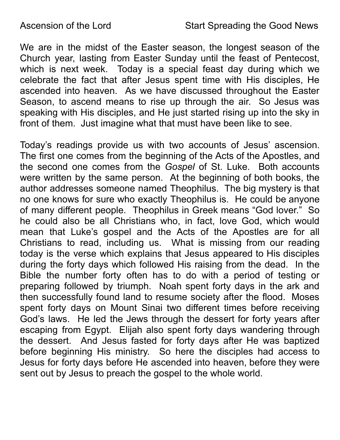We are in the midst of the Easter season, the longest season of the Church year, lasting from Easter Sunday until the feast of Pentecost, which is next week. Today is a special feast day during which we celebrate the fact that after Jesus spent time with His disciples, He ascended into heaven. As we have discussed throughout the Easter Season, to ascend means to rise up through the air. So Jesus was speaking with His disciples, and He just started rising up into the sky in front of them. Just imagine what that must have been like to see.

Today's readings provide us with two accounts of Jesus' ascension. The first one comes from the beginning of the Acts of the Apostles, and the second one comes from the *Gospel* of St. Luke. Both accounts were written by the same person. At the beginning of both books, the author addresses someone named Theophilus. The big mystery is that no one knows for sure who exactly Theophilus is. He could be anyone of many different people. Theophilus in Greek means "God lover." So he could also be all Christians who, in fact, love God, which would mean that Luke's gospel and the Acts of the Apostles are for all Christians to read, including us. What is missing from our reading today is the verse which explains that Jesus appeared to His disciples during the forty days which followed His raising from the dead. In the Bible the number forty often has to do with a period of testing or preparing followed by triumph. Noah spent forty days in the ark and then successfully found land to resume society after the flood. Moses spent forty days on Mount Sinai two different times before receiving God's laws. He led the Jews through the dessert for forty years after escaping from Egypt. Elijah also spent forty days wandering through the dessert. And Jesus fasted for forty days after He was baptized before beginning His ministry. So here the disciples had access to Jesus for forty days before He ascended into heaven, before they were sent out by Jesus to preach the gospel to the whole world.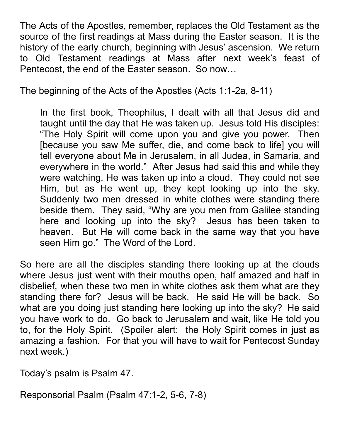The Acts of the Apostles, remember, replaces the Old Testament as the source of the first readings at Mass during the Easter season. It is the history of the early church, beginning with Jesus' ascension. We return to Old Testament readings at Mass after next week's feast of Pentecost, the end of the Easter season. So now…

The beginning of the Acts of the Apostles (Acts 1:1-2a, 8-11)

In the first book, Theophilus, I dealt with all that Jesus did and taught until the day that He was taken up. Jesus told His disciples: "The Holy Spirit will come upon you and give you power. Then [because you saw Me suffer, die, and come back to life] you will tell everyone about Me in Jerusalem, in all Judea, in Samaria, and everywhere in the world." After Jesus had said this and while they were watching, He was taken up into a cloud. They could not see Him, but as He went up, they kept looking up into the sky. Suddenly two men dressed in white clothes were standing there beside them. They said, "Why are you men from Galilee standing here and looking up into the sky? Jesus has been taken to heaven. But He will come back in the same way that you have seen Him go." The Word of the Lord.

So here are all the disciples standing there looking up at the clouds where Jesus just went with their mouths open, half amazed and half in disbelief, when these two men in white clothes ask them what are they standing there for? Jesus will be back. He said He will be back. So what are you doing just standing here looking up into the sky? He said you have work to do. Go back to Jerusalem and wait, like He told you to, for the Holy Spirit. (Spoiler alert: the Holy Spirit comes in just as amazing a fashion. For that you will have to wait for Pentecost Sunday next week.)

Today's psalm is Psalm 47.

Responsorial Psalm (Psalm 47:1-2, 5-6, 7-8)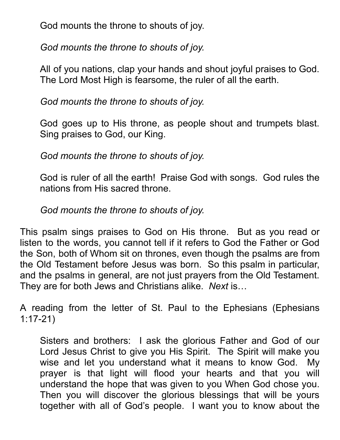God mounts the throne to shouts of joy.

*God mounts the throne to shouts of joy.*

All of you nations, clap your hands and shout joyful praises to God. The Lord Most High is fearsome, the ruler of all the earth.

*God mounts the throne to shouts of joy.*

God goes up to His throne, as people shout and trumpets blast. Sing praises to God, our King.

*God mounts the throne to shouts of joy.*

God is ruler of all the earth! Praise God with songs. God rules the nations from His sacred throne.

*God mounts the throne to shouts of joy.*

This psalm sings praises to God on His throne. But as you read or listen to the words, you cannot tell if it refers to God the Father or God the Son, both of Whom sit on thrones, even though the psalms are from the Old Testament before Jesus was born. So this psalm in particular, and the psalms in general, are not just prayers from the Old Testament. They are for both Jews and Christians alike. *Next* is…

A reading from the letter of St. Paul to the Ephesians (Ephesians 1:17-21)

Sisters and brothers: I ask the glorious Father and God of our Lord Jesus Christ to give you His Spirit. The Spirit will make you wise and let you understand what it means to know God. My prayer is that light will flood your hearts and that you will understand the hope that was given to you When God chose you. Then you will discover the glorious blessings that will be yours together with all of God's people. I want you to know about the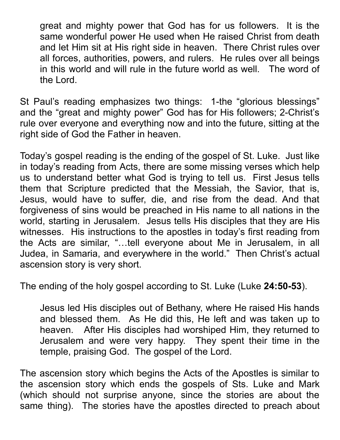great and mighty power that God has for us followers. It is the same wonderful power He used when He raised Christ from death and let Him sit at His right side in heaven. There Christ rules over all forces, authorities, powers, and rulers. He rules over all beings in this world and will rule in the future world as well. The word of the Lord.

St Paul's reading emphasizes two things: 1-the "glorious blessings" and the "great and mighty power" God has for His followers; 2-Christ's rule over everyone and everything now and into the future, sitting at the right side of God the Father in heaven.

Today's gospel reading is the ending of the gospel of St. Luke. Just like in today's reading from Acts, there are some missing verses which help us to understand better what God is trying to tell us. First Jesus tells them that Scripture predicted that the Messiah, the Savior, that is, Jesus, would have to suffer, die, and rise from the dead. And that forgiveness of sins would be preached in His name to all nations in the world, starting in Jerusalem. Jesus tells His disciples that they are His witnesses. His instructions to the apostles in today's first reading from the Acts are similar, "…tell everyone about Me in Jerusalem, in all Judea, in Samaria, and everywhere in the world." Then Christ's actual ascension story is very short.

The ending of the holy gospel according to St. Luke (Luke **24:50-53**).

Jesus led His disciples out of Bethany, where He raised His hands and blessed them. As He did this, He left and was taken up to heaven. After His disciples had worshiped Him, they returned to Jerusalem and were very happy. They spent their time in the temple, praising God. The gospel of the Lord.

The ascension story which begins the Acts of the Apostles is similar to the ascension story which ends the gospels of Sts. Luke and Mark (which should not surprise anyone, since the stories are about the same thing). The stories have the apostles directed to preach about